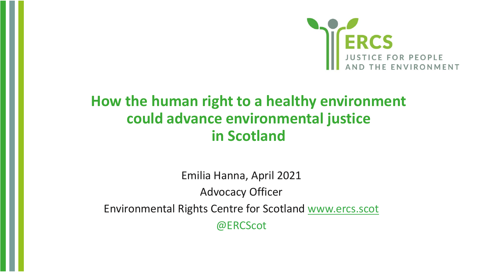

#### **How the human right to a healthy environment could advance environmental justice in Scotland**

Emilia Hanna, April 2021 Advocacy Officer Environmental Rights Centre for Scotland [www.ercs.scot](http://www.ercs.scot/) @ERCScot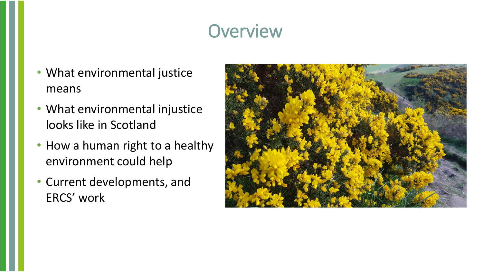#### **Overview**

- What environmental justice means
- What environmental injustice looks like in Scotland
- How a human right to a healthy environment could help
- Current developments, and ERCS' work

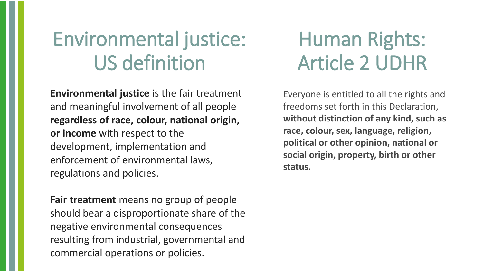# Environmental justice: US definition

**Environmental justice** is the fair treatment and meaningful involvement of all people **regardless of race, colour, national origin, or income** with respect to the development, implementation and enforcement of environmental laws, regulations and policies.

**Fair treatment** means no group of people should bear a disproportionate share of the negative environmental consequences resulting from industrial, governmental and commercial operations or policies.

# Human Rights: Article 2 UDHR

Everyone is entitled to all the rights and freedoms set forth in this Declaration, **without distinction of any kind, such as race, colour, sex, language, religion, political or other opinion, national or social origin, property, birth or other status.**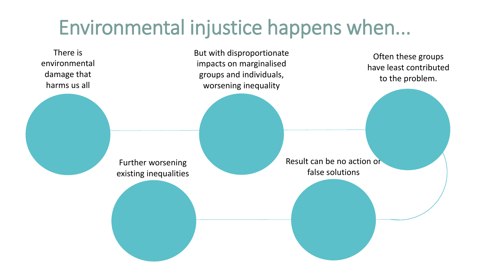# Environmental injustice happens when...

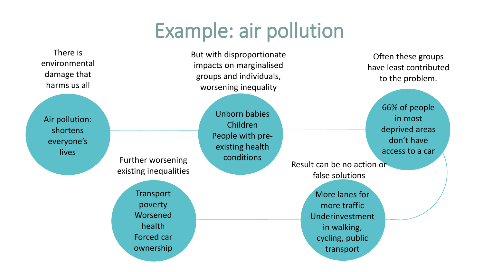### Example: air pollution

There is environmental damage that harms us all

Air pollution: shortens everyone's **lives** 

Further worsening

existing inequalities

**Transport** 

poverty

Worsened

health

Forced car

ownership

But with disproportionate impacts on marginalised groups and individuals, worsening inequality

> Unborn babies Children People with preexisting health conditions

Often these groups have least contributed to the problem.

> 66% of people in most deprived areas don't have access to a car

Result can be no action or false solutions

> More lanes for more traffic Underinvestment in walking, cycling, public transport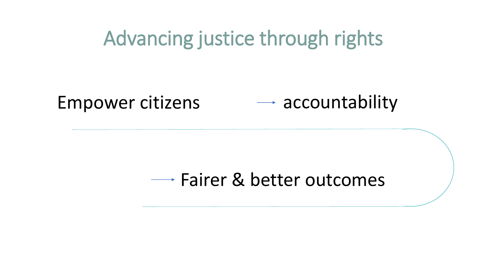#### Advancing justice through rights Advancing justice through rights

#### $Empower$  citizens  $\longrightarrow$  accountability Empower citizens

#### Fairer & better outcomes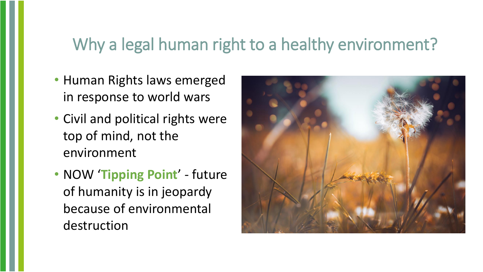#### Why a legal human right to a healthy environment?

- Human Rights laws emerged in response to world wars
- Civil and political rights were top of mind, not the environment
- NOW '**Tipping Point**' future of humanity is in jeopardy because of environmental destruction

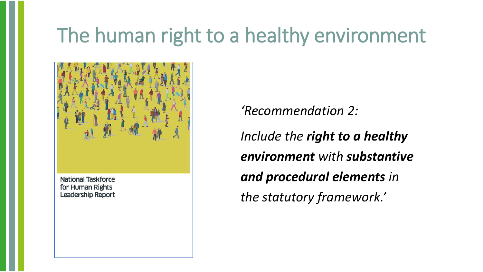# The human right to a healthy environment



National Taskforce for Human Rights **Leadership Report**  *'Recommendation 2:* 

*Include the right to a healthy environment with substantive and procedural elements in the statutory framework.'*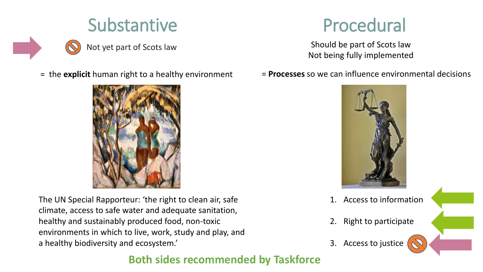



The UN Special Rapporteur: 'the right to clean air, safe climate, access to safe water and adequate sanitation, healthy and sustainably produced food, non-toxic environments in which to live, work, study and play, and a healthy biodiversity and ecosystem.'

Not being fully implemented

= the **explicit** human right to a healthy environment = **Processes** so we can influence environmental decisions



- 1. Access to information
- 2. Right to participate
- 3. Access to justice

#### **Both sides recommended by Taskforce**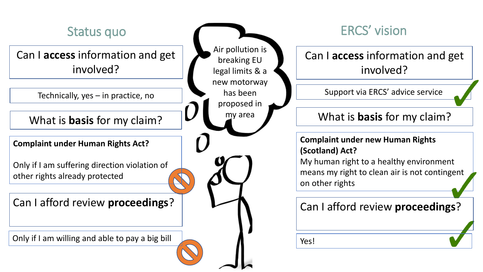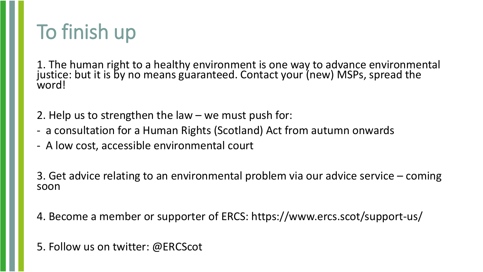# To finish up

1. The human right to a healthy environment is one way to advance environmental justice: but it is by no means guaranteed. Contact your (new) MSPs, spread the word!

2. Help us to strengthen the law – we must push for:

- a consultation for a Human Rights (Scotland) Act from autumn onwards
- A low cost, accessible environmental court

3. Get advice relating to an environmental problem via our advice service – coming soon

4. Become a member or supporter of ERCS: https://www.ercs.scot/support-us/

5. Follow us on twitter: @ERCScot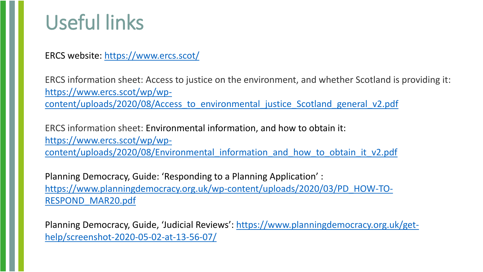#### Useful links

ERCS website: <https://www.ercs.scot/>

ERCS information sheet: Access to justice on the environment, and whether Scotland is providing it: https://www.ercs.scot/wp/wp[content/uploads/2020/08/Access\\_to\\_environmental\\_justice\\_Scotland\\_general\\_v2.pdf](https://www.ercs.scot/wp/wp-content/uploads/2020/08/Access_to_environmental_justice_Scotland_general_v2.pdf)

ERCS information sheet: Environmental information, and how to obtain it: https://www.ercs.scot/wp/wpcontent/uploads/2020/08/Environmental information and how to obtain it v2.pdf

Planning Democracy, Guide: 'Responding to a Planning Application' : [https://www.planningdemocracy.org.uk/wp-content/uploads/2020/03/PD\\_HOW-TO-](https://www.planningdemocracy.org.uk/wp-content/uploads/2020/03/PD_HOW-TO-RESPOND_MAR20.pdf)RESPOND\_MAR20.pdf

[Planning Democracy, Guide, 'Judicial Reviews':](https://www.planningdemocracy.org.uk/get-help/screenshot-2020-05-02-at-13-56-07/) https://www.planningdemocracy.org.uk/gethelp/screenshot-2020-05-02-at-13-56-07/